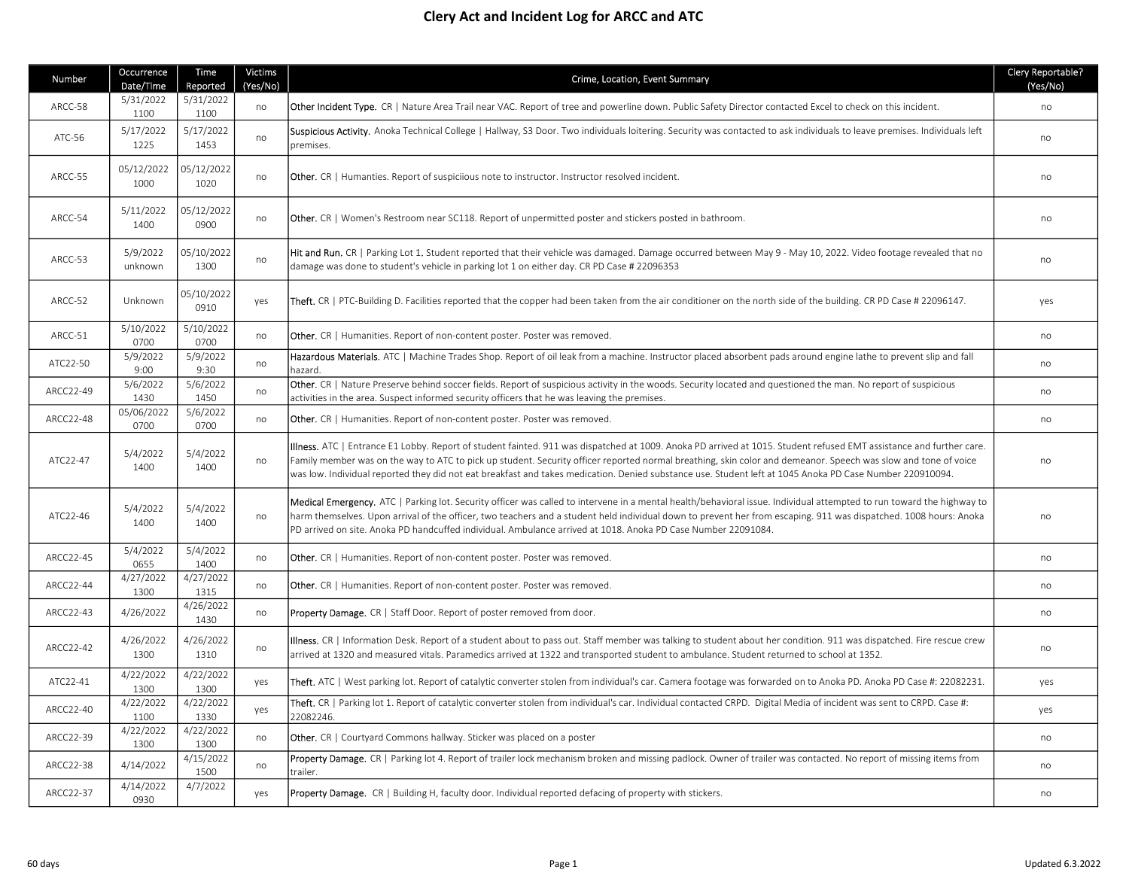## Clery Act and Incident Log for ARCC and ATC

| Number    | Occurrence<br>Date/Time | Time<br>Reported   | <b>Victims</b><br>(Yes/No) | Crime, Location, Event Summary                                                                                                                                                                                                                                                                                                                                                                                                                                                                    | Clery Reportable?<br>(Yes/No) |
|-----------|-------------------------|--------------------|----------------------------|---------------------------------------------------------------------------------------------------------------------------------------------------------------------------------------------------------------------------------------------------------------------------------------------------------------------------------------------------------------------------------------------------------------------------------------------------------------------------------------------------|-------------------------------|
| ARCC-58   | 5/31/2022<br>1100       | 5/31/2022<br>1100  | no                         | Other Incident Type. CR   Nature Area Trail near VAC. Report of tree and powerline down. Public Safety Director contacted Excel to check on this incident.                                                                                                                                                                                                                                                                                                                                        | no                            |
| ATC-56    | 5/17/2022<br>1225       | 5/17/2022<br>1453  | no                         | Suspicious Activity. Anoka Technical College   Hallway, S3 Door. Two individuals loitering. Security was contacted to ask individuals to leave premises. Individuals left<br>premises.                                                                                                                                                                                                                                                                                                            | no                            |
| ARCC-55   | 05/12/2022<br>1000      | 05/12/2022<br>1020 | no                         | <b>Other.</b> CR   Humanties. Report of suspiciious note to instructor. Instructor resolved incident.                                                                                                                                                                                                                                                                                                                                                                                             | no                            |
| ARCC-54   | 5/11/2022<br>1400       | 05/12/2022<br>0900 | no                         | <b>Other.</b> CR   Women's Restroom near SC118. Report of unpermitted poster and stickers posted in bathroom.                                                                                                                                                                                                                                                                                                                                                                                     | no                            |
| ARCC-53   | 5/9/2022<br>unknown     | 05/10/2022<br>1300 | no                         | Hit and Run. CR   Parking Lot 1. Student reported that their vehicle was damaged. Damage occurred between May 9 - May 10, 2022. Video footage revealed that no<br>damage was done to student's vehicle in parking lot 1 on either day. CR PD Case # 22096353                                                                                                                                                                                                                                      | no                            |
| ARCC-52   | Unknown                 | 05/10/2022<br>0910 | yes                        | Theft. CR   PTC-Building D. Facilities reported that the copper had been taken from the air conditioner on the north side of the building. CR PD Case # 22096147.                                                                                                                                                                                                                                                                                                                                 | yes                           |
| ARCC-51   | 5/10/2022<br>0700       | 5/10/2022<br>0700  | no                         | <b>Other.</b> CR   Humanities. Report of non-content poster. Poster was removed.                                                                                                                                                                                                                                                                                                                                                                                                                  | no                            |
| ATC22-50  | 5/9/2022<br>9:00        | 5/9/2022<br>9:30   | no                         | Hazardous Materials. ATC   Machine Trades Shop. Report of oil leak from a machine. Instructor placed absorbent pads around engine lathe to prevent slip and fall<br>hazard.                                                                                                                                                                                                                                                                                                                       | no                            |
| ARCC22-49 | 5/6/2022<br>1430        | 5/6/2022<br>1450   | no                         | Other. CR   Nature Preserve behind soccer fields. Report of suspicious activity in the woods. Security located and questioned the man. No report of suspicious<br>activities in the area. Suspect informed security officers that he was leaving the premises.                                                                                                                                                                                                                                    | no                            |
| ARCC22-48 | 05/06/2022<br>0700      | 5/6/2022<br>0700   | no                         | Other. CR   Humanities. Report of non-content poster. Poster was removed.                                                                                                                                                                                                                                                                                                                                                                                                                         | no                            |
| ATC22-47  | 5/4/2022<br>1400        | 5/4/2022<br>1400   | no                         | Illness. ATC   Entrance E1 Lobby. Report of student fainted. 911 was dispatched at 1009. Anoka PD arrived at 1015. Student refused EMT assistance and further care.<br>Family member was on the way to ATC to pick up student. Security officer reported normal breathing, skin color and demeanor. Speech was slow and tone of voice<br>was low. Individual reported they did not eat breakfast and takes medication. Denied substance use. Student left at 1045 Anoka PD Case Number 220910094. | no                            |
| ATC22-46  | 5/4/2022<br>1400        | 5/4/2022<br>1400   | no                         | Medical Emergency. ATC   Parking lot. Security officer was called to intervene in a mental health/behavioral issue. Individual attempted to run toward the highway to<br>harm themselves. Upon arrival of the officer, two teachers and a student held individual down to prevent her from escaping. 911 was dispatched. 1008 hours: Anoka<br>PD arrived on site. Anoka PD handcuffed individual. Ambulance arrived at 1018. Anoka PD Case Number 22091084.                                       | no                            |
| ARCC22-45 | 5/4/2022<br>0655        | 5/4/2022<br>1400   | no                         | Other. CR   Humanities. Report of non-content poster. Poster was removed.                                                                                                                                                                                                                                                                                                                                                                                                                         | no                            |
| ARCC22-44 | 4/27/2022<br>1300       | 4/27/2022<br>1315  | no                         | Other. CR   Humanities. Report of non-content poster. Poster was removed.                                                                                                                                                                                                                                                                                                                                                                                                                         | no                            |
| ARCC22-43 | 4/26/2022               | 4/26/2022<br>1430  | no                         | <b>Property Damage.</b> CR   Staff Door. Report of poster removed from door.                                                                                                                                                                                                                                                                                                                                                                                                                      | no                            |
| ARCC22-42 | 4/26/2022<br>1300       | 4/26/2022<br>1310  | no                         | Illness. CR   Information Desk. Report of a student about to pass out. Staff member was talking to student about her condition. 911 was dispatched. Fire rescue crew<br>arrived at 1320 and measured vitals. Paramedics arrived at 1322 and transported student to ambulance. Student returned to school at 1352.                                                                                                                                                                                 | no                            |
| ATC22-41  | 4/22/2022<br>1300       | 4/22/2022<br>1300  | yes                        | <b>Theft.</b> ATC   West parking lot. Report of catalytic converter stolen from individual's car. Camera footage was forwarded on to Anoka PD. Anoka PD Case #: 22082231.                                                                                                                                                                                                                                                                                                                         | yes                           |
| ARCC22-40 | 4/22/2022<br>1100       | 4/22/2022<br>1330  | yes                        | Theft. CR   Parking lot 1. Report of catalytic converter stolen from individual's car. Individual contacted CRPD. Digital Media of incident was sent to CRPD. Case #:<br>22082246.                                                                                                                                                                                                                                                                                                                | yes                           |
| ARCC22-39 | 4/22/2022<br>1300       | 4/22/2022<br>1300  | no                         | <b>Other.</b> CR   Courtyard Commons hallway. Sticker was placed on a poster                                                                                                                                                                                                                                                                                                                                                                                                                      | no                            |
| ARCC22-38 | 4/14/2022               | 4/15/2022<br>1500  | no                         | Property Damage. CR   Parking lot 4. Report of trailer lock mechanism broken and missing padlock. Owner of trailer was contacted. No report of missing items from<br>trailer.                                                                                                                                                                                                                                                                                                                     | no                            |
| ARCC22-37 | 4/14/2022<br>0930       | 4/7/2022           | yes                        | Property Damage. CR   Building H, faculty door. Individual reported defacing of property with stickers.                                                                                                                                                                                                                                                                                                                                                                                           | no                            |